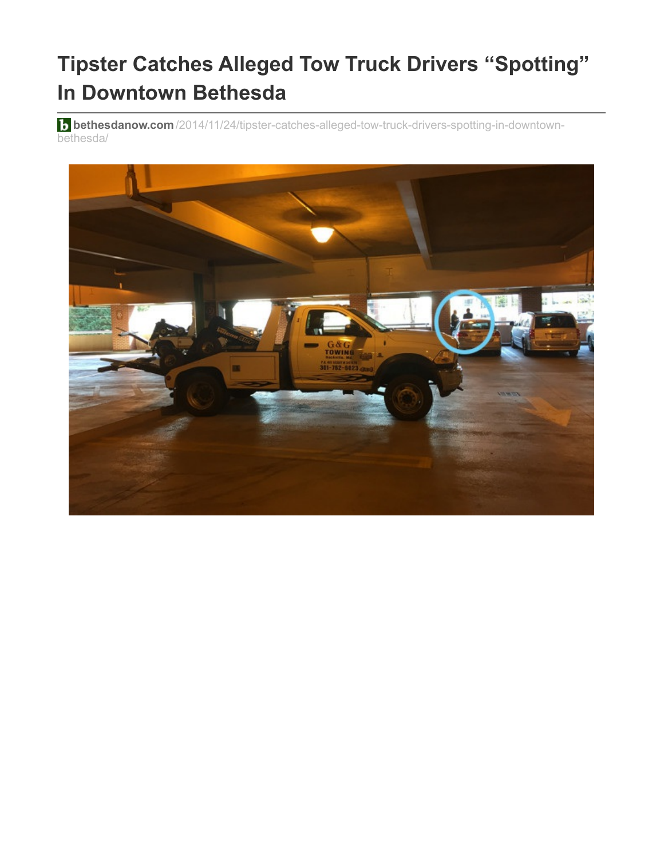## **Tipster Catches Alleged Tow Truck Drivers "Spotting" In Downtown Bethesda**

**b** bethesdanow.com[/2014/11/24/tipster-catches-alleged-tow-truck-drivers-spotting-in-downtown](http://www.bethesdanow.com/2014/11/24/tipster-catches-alleged-tow-truck-drivers-spotting-in-downtown-bethesda/)bethesda/

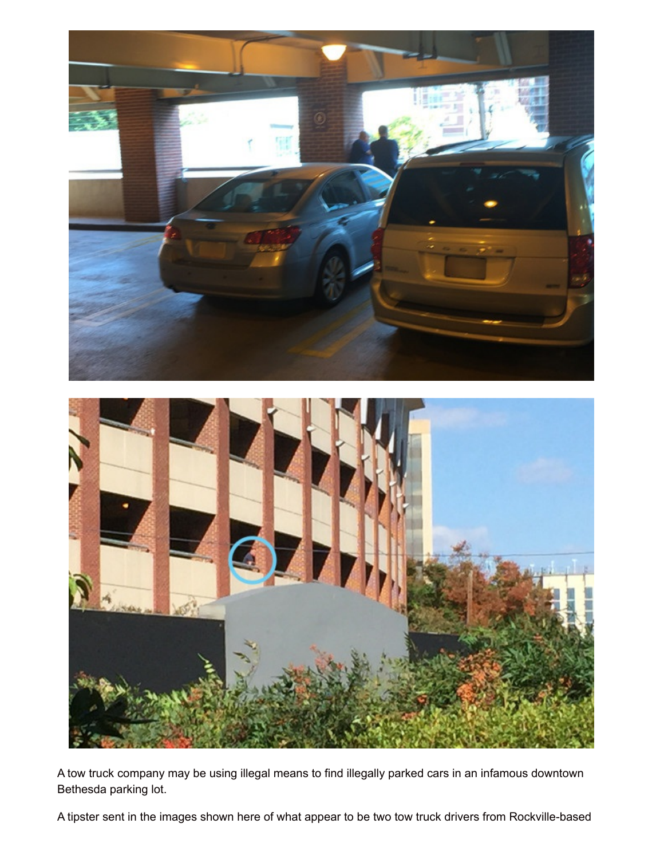

A tow truck company may be using illegal means to find illegally parked cars in an infamous downtown Bethesda parking lot.

A tipster sent in the images shown here of what appear to be two tow truck drivers from Rockville-based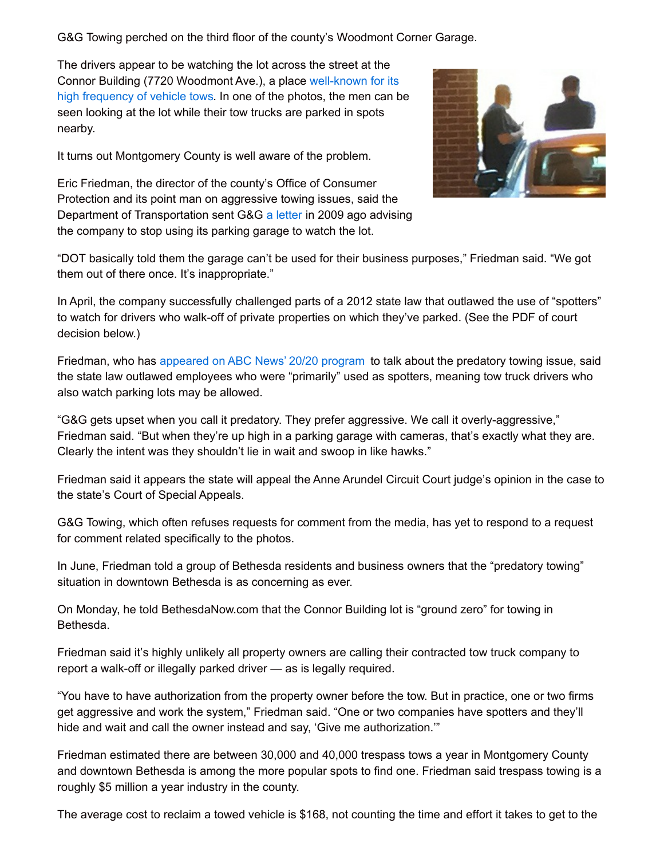G&G Towing perched on the third floor of the county's Woodmont Corner Garage.

The drivers appear to be watching the lot across the street at the Connor Building (7720 Woodmont Ave.), a place [well-known](http://www.bethesdanow.com/2014/06/17/predatory-towing-continues-in-downtown-bethesda/) for its high frequency of vehicle tows. In one of the photos, the men can be seen looking at the lot while their tow trucks are parked in spots nearby.

It turns out Montgomery County is well aware of the problem.

Eric Friedman, the director of the county's Office of Consumer Protection and its point man on aggressive towing issues, said the Department of Transportation sent G&G a [letter](http://www.bethesdanow.com/files/2014/11/County-Tells-GG-Towing-To-Leave-Garage.pdf) in 2009 ago advising the company to stop using its parking garage to watch the lot.



"DOT basically told them the garage can't be used for their business purposes," Friedman said. "We got them out of there once. It's inappropriate."

In April, the company successfully challenged parts of a 2012 state law that outlawed the use of "spotters" to watch for drivers who walk-off of private properties on which they've parked. (See the PDF of court decision below.)

Friedman, who has [appeared](http://www.bethesdanow.com/2012/11/29/county-official-featured-on-abcs-2020/) on ABC News' 20/20 program to talk about the predatory towing issue, said the state law outlawed employees who were "primarily" used as spotters, meaning tow truck drivers who also watch parking lots may be allowed.

"G&G gets upset when you call it predatory. They prefer aggressive. We call it overly-aggressive," Friedman said. "But when they're up high in a parking garage with cameras, that's exactly what they are. Clearly the intent was they shouldn't lie in wait and swoop in like hawks."

Friedman said it appears the state will appeal the Anne Arundel Circuit Court judge's opinion in the case to the state's Court of Special Appeals.

G&G Towing, which often refuses requests for comment from the media, has yet to respond to a request for comment related specifically to the photos.

In June, Friedman told a group of Bethesda residents and business owners that the "predatory towing" situation in downtown Bethesda is as concerning as ever.

On Monday, he told BethesdaNow.com that the Connor Building lot is "ground zero" for towing in Bethesda.

Friedman said it's highly unlikely all property owners are calling their contracted tow truck company to report a walk-off or illegally parked driver — as is legally required.

"You have to have authorization from the property owner before the tow. But in practice, one or two firms get aggressive and work the system," Friedman said. "One or two companies have spotters and they'll hide and wait and call the owner instead and say, 'Give me authorization.'"

Friedman estimated there are between 30,000 and 40,000 trespass tows a year in Montgomery County and downtown Bethesda is among the more popular spots to find one. Friedman said trespass towing is a roughly \$5 million a year industry in the county.

The average cost to reclaim a towed vehicle is \$168, not counting the time and effort it takes to get to the